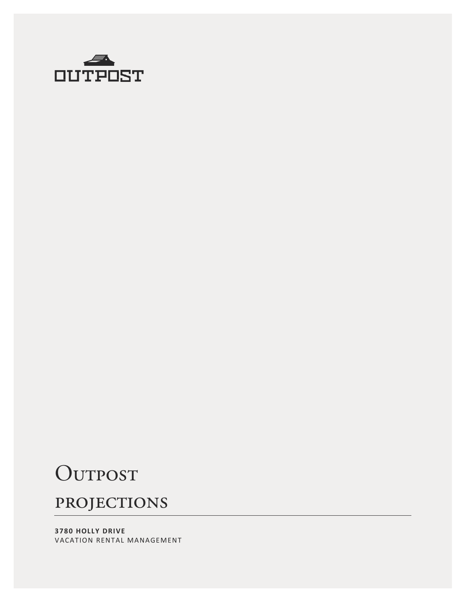

# OUTPOST

### **PROJECTIONS**

**3780 HOLLY DRIVE** VACATION RENTAL MANAGEMENT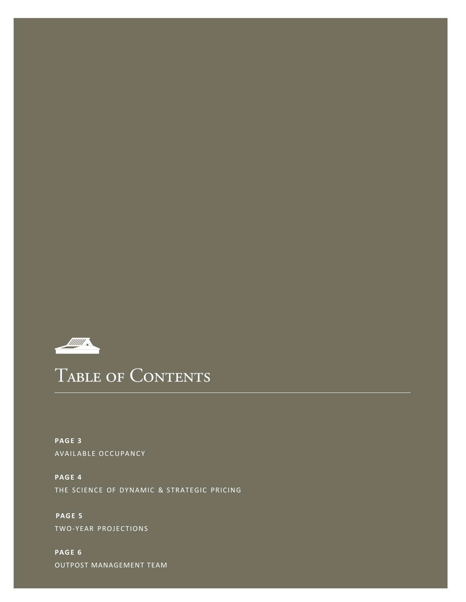

## TABLE OF CONTENTS

**PAGE 3** AVAILABLE OCCUPANCY

**PAGE 4** THE SCIENCE OF DYNAMIC & STRATEGIC PRICING

**PAGE 5** TWO-YEAR PROJECTIONS

**PAGE 6** OUTPOST MANAGEMENT TEAM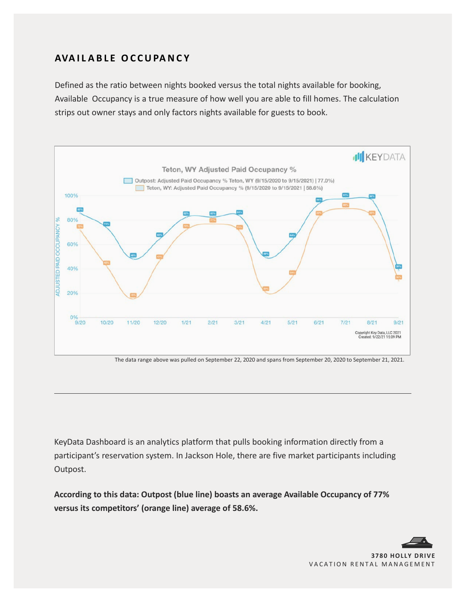### **AVA I L A B L E O C CUPANC Y**

Defined as the ratio between nights booked versus the total nights available for booking, Available Occupancy is a true measure of how well you are able to fill homes. The calculation strips out owner stays and only factors nights available for guests to book.



The data range above was pulled on September 22, 2020 and spans from September 20, 2020 to September 21, 2021.

KeyData Dashboard is an analytics platform that pulls booking information directly from a participant's reservation system. In Jackson Hole, there are five market participants including Outpost.

**According to this data: Outpost (blue line) boasts an average Available Occupancy of 77% versus its competitors' (orange line) average of 58.6%.**

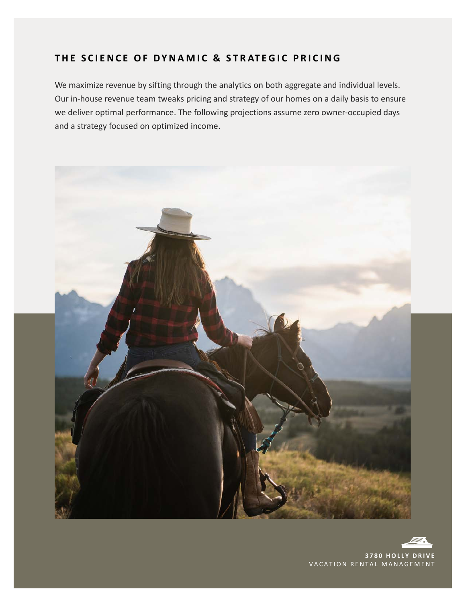#### **TH E S C I E NC E OF DYN A M I C & S T R AT E G I C P R I C ING**

We maximize revenue by sifting through the analytics on both aggregate and individual levels. Our in-house revenue team tweaks pricing and strategy of our homes on a daily basis to ensure we deliver optimal performance. The following projections assume zero owner-occupied days and a strategy focused on optimized income.



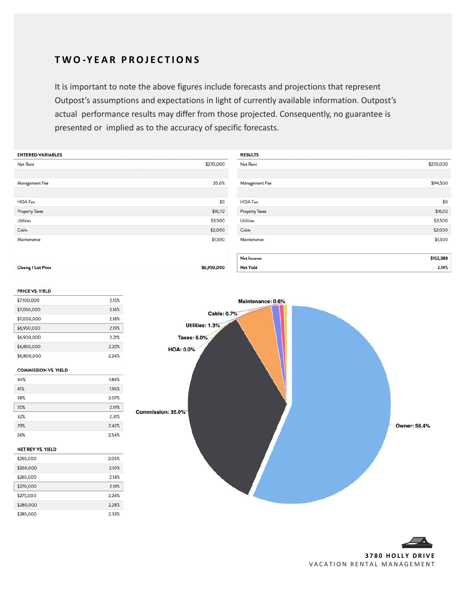#### **T W O -Y E A R P ROJ E C T IO N S**

It is important to note the above figures include forecasts and projections that represent Outpost's assumptions and expectations in light of currently available information. Outpost's actual performance results may differ from those projected. Consequently, no guarantee is presented or implied as to the accuracy of specific forecasts.

| <b>ENTERED VARIABLES</b>    |             | <b>RESULTS</b>        |           |
|-----------------------------|-------------|-----------------------|-----------|
| Net Rent                    | \$270,000   | Net Rent              | \$270,000 |
| Management Fee              | 35.0%       | Management Fee        | \$94,500  |
|                             |             |                       |           |
| <b>HOA Fee</b>              | \$0         | <b>HOA Fee</b>        | \$0       |
| Property Taxes              | \$16,112    | <b>Property Taxes</b> | \$16,112  |
| <b>Utilities</b>            | \$3,500     | Utilities             | \$3,500   |
| Cable                       | \$2,000     | Cable                 | \$2,000   |
| Maintenance                 | \$1,500     | Maintenance           | \$1,500   |
|                             |             |                       |           |
|                             |             | Net Income            | \$152,388 |
| <b>Closing / List Price</b> | \$6,950,000 | Net Yield             | 2.19%     |

#### PRICE VS. YIELD